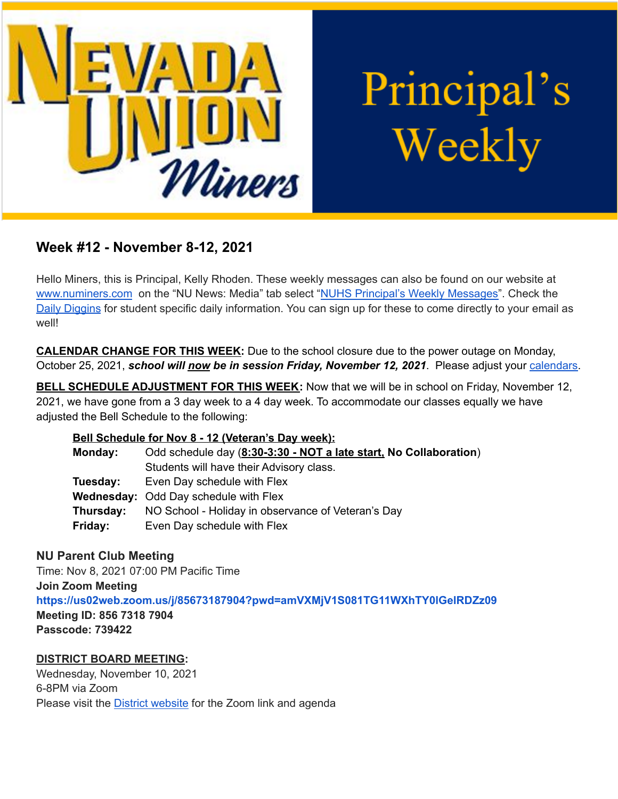

Principal's Weekly

# **Week #12 - November 8-12, 2021**

Hello Miners, this is Principal, Kelly Rhoden. These weekly messages can also be found on our website at [www.numiners.com](http://www.numiners.com) on the "NU News: Media" tab select "NUHS Principal's Weekly [Messages"](https://nevadaunion.njuhsd.com/NU-NewsMedia/NUHS-Principals-Weekly-Messages/index.html). Check the Daily [Diggins](https://nevadaunion.njuhsd.com/NU-NewsMedia/Daily-Diggins-Bulletin/index.html) for student specific daily information. You can sign up for these to come directly to your email as well!

**CALENDAR CHANGE FOR THIS WEEK:** Due to the school closure due to the power outage on Monday, October 25, 2021, *school will now be in session Friday, November 12, 2021*. Please adjust your [calendars.](https://nevadaunion.njuhsd.com/Information/Calendar-School-Year-2021-2022/index.html)

**BELL SCHEDULE ADJUSTMENT FOR THIS WEEK:** Now that we will be in school on Friday, November 12, 2021, we have gone from a 3 day week to a 4 day week. To accommodate our classes equally we have adjusted the Bell Schedule to the following:

## **Bell Schedule for Nov 8 - 12 (Veteran's Day week):**

| Monday:   | Odd schedule day (8:30-3:30 - NOT a late start, No Collaboration) |
|-----------|-------------------------------------------------------------------|
|           | Students will have their Advisory class.                          |
| Tuesday:  | Even Day schedule with Flex                                       |
|           | <b>Wednesday: Odd Day schedule with Flex</b>                      |
| Thursday: | NO School - Holiday in observance of Veteran's Day                |
| Friday:   | Even Day schedule with Flex                                       |

# **NU Parent Club Meeting**

Time: Nov 8, 2021 07:00 PM Pacific Time

#### **Join Zoom Meeting**

**<https://us02web.zoom.us/j/85673187904?pwd=amVXMjV1S081TG11WXhTY0lGelRDZz09>**

**Meeting ID: 856 7318 7904 Passcode: 739422**

# **DISTRICT BOARD MEETING:**

Wednesday, November 10, 2021 6-8PM via Zoom Please visit the **District [website](https://simbli.eboardsolutions.com/SB_Meetings/SB_MeetingListing.aspx?S=36030345)** for the Zoom link and agenda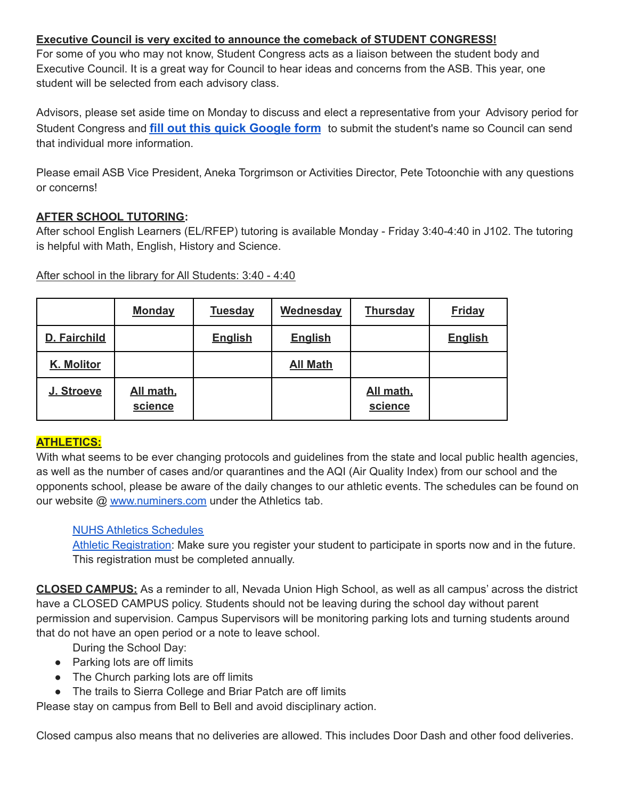## **Executive Council is very excited to announce the comeback of STUDENT CONGRESS!**

For some of you who may not know, Student Congress acts as a liaison between the student body and Executive Council. It is a great way for Council to hear ideas and concerns from the ASB. This year, one student will be selected from each advisory class.

Advisors, please set aside time on Monday to discuss and elect a representative from your Advisory period for Student Congress and **[fill out this quick Google form](https://forms.gle/Dzs1rVczcWwyfFa86)** to submit the student's name so Council can send that individual more information.

Please email ASB Vice President, Aneka Torgrimson or Activities Director, Pete Totoonchie with any questions or concerns!

## **AFTER SCHOOL TUTORING:**

After school English Learners (EL/RFEP) tutoring is available Monday - Friday 3:40-4:40 in J102. The tutoring is helpful with Math, English, History and Science.

After school in the library for All Students: 3:40 - 4:40

|              | <b>Monday</b>        | <b>Tuesday</b> | Wednesday       | <b>Thursday</b>      | <b>Friday</b>  |
|--------------|----------------------|----------------|-----------------|----------------------|----------------|
| D. Fairchild |                      | <b>English</b> | <b>English</b>  |                      | <b>English</b> |
| K. Molitor   |                      |                | <b>All Math</b> |                      |                |
| J. Stroeve   | All math,<br>science |                |                 | All math,<br>science |                |

## **ATHLETICS:**

With what seems to be ever changing protocols and guidelines from the state and local public health agencies, as well as the number of cases and/or quarantines and the AQI (Air Quality Index) from our school and the opponents school, please be aware of the daily changes to our athletic events. The schedules can be found on our website @ [www.numiners.com](http://www.numiners.com) under the Athletics tab.

## NUHS Athletics [Schedules](https://nevadaunion.njuhsd.com/Athletics/Sports-Calendar--Schedules/index.html)

Athletic [Registration:](https://nevadaunion.njuhsd.com/Athletics/How-to-Register-For-a-Sport/index.html) Make sure you register your student to participate in sports now and in the future. This registration must be completed annually.

**CLOSED CAMPUS:** As a reminder to all, Nevada Union High School, as well as all campus' across the district have a CLOSED CAMPUS policy. Students should not be leaving during the school day without parent permission and supervision. Campus Supervisors will be monitoring parking lots and turning students around that do not have an open period or a note to leave school.

- During the School Day:
- Parking lots are off limits
- The Church parking lots are off limits
- The trails to Sierra College and Briar Patch are off limits

Please stay on campus from Bell to Bell and avoid disciplinary action.

Closed campus also means that no deliveries are allowed. This includes Door Dash and other food deliveries.